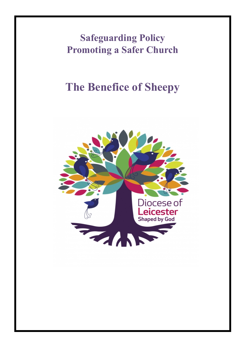**Safeguarding Policy Promoting a Safer Church**

# **The Benefice of Sheepy**

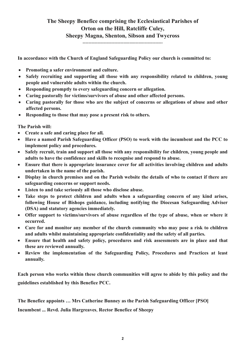## **The Sheepy Benefice comprising the Ecclesiastical Parishes of Orton on the Hill, Ratcliffe Culey, Sheepy Magna, Shenton, Sibson and Twycross**

**……………………………………………………………………….**

**In accordance with the Church of England Safeguarding Policy our church is committed to:** 

- **Promoting a safer environment and culture.**
- **Safely recruiting and supporting all those with any responsibility related to children, young people and vulnerable adults within the church.**
- **Responding promptly to every safeguarding concern or allegation.**
- **Caring pastorally for victims/survivors of abuse and other affected persons.**
- **Caring pastorally for those who are the subject of concerns or allegations of abuse and other affected persons.**
- **Responding to those that may pose a present risk to others.**

**The Parish will:** 

- **Create a safe and caring place for all.**
- **Have a named Parish Safeguarding Officer (PSO) to work with the incumbent and the PCC to implement policy and procedures.**
- **Safely recruit, train and support all those with any responsibility for children, young people and adults to have the confidence and skills to recognise and respond to abuse.**
- **Ensure that there is appropriate insurance cover for all activities involving children and adults undertaken in the name of the parish.**
- **Display in church premises and on the Parish website the details of who to contact if there are safeguarding concerns or support needs.**
- **Listen to and take seriously all those who disclose abuse.**
- **Take steps to protect children and adults when a safeguarding concern of any kind arises, following House of Bishops guidance, including notifying the Diocesan Safeguarding Adviser (DSA) and statutory agencies immediately.**
- **Offer support to victims/survivors of abuse regardless of the type of abuse, when or where it occurred.**
- **Care for and monitor any member of the church community who may pose a risk to children and adults whilst maintaining appropriate confidentiality and the safety of all parties.**
- **Ensure that health and safety policy, procedures and risk assessments are in place and that these are reviewed annually.**
- **Review the implementation of the Safeguarding Policy, Procedures and Practices at least annually.**

**Each person who works within these church communities will agree to abide by this policy and the guidelines established by this Benefice PCC.**

**The Benefice appoints … Mrs Catherine Bunney as the Parish Safeguarding Officer [PSO]**

**Incumbent ... Revd. Julia Hargreaves**, **Rector Benefice of Sheepy**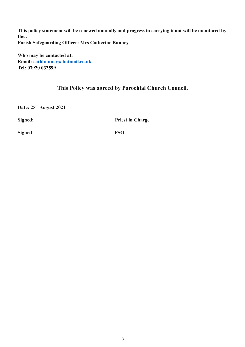**This policy statement will be renewed annually and progress in carrying it out will be monitored by the.. Parish Safeguarding Officer: Mrs Catherine Bunney**

**Who may be contacted at: Email: cathbunney@hotmail.co.uk Tel: 07920 032599**

### **This Policy was agreed by Parochial Church Council.**

**Date: 25th August 2021**

**Signed:** Priest in Charge

**Signed PSO**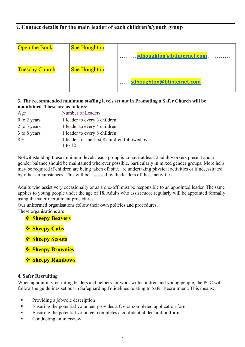| 2. Contact details for the main leader of each children's/youth group |                     |                           |
|-----------------------------------------------------------------------|---------------------|---------------------------|
| <b>Open the Book</b>                                                  | <b>Sue Houghton</b> | sdhoughton@btinternet.com |
| <b>Tuesday Church</b>                                                 | <b>Sue Houghton</b> | sdhoughton@btinternet.com |

#### **3. The recommended minimum staffing levels set out in Promoting a Safer Church will be maintained. These are as follows**:

| Age          | Number of Leaders                                        |  |
|--------------|----------------------------------------------------------|--|
| 0 to 2 years | 1 leader to every 3 children                             |  |
| 2 to 3 years | 1 leader to every 4 children                             |  |
| 3 to 8 years | 1 leader to every 8 children                             |  |
| $8 +$        | 1 leader for the first 8 children followed by<br>1 to 12 |  |

Notwithstanding these minimum levels, each group is to have at least 2 adult workers present and a gender balance should be maintained wherever possible, particularly in mixed gender groups. More help may be required if children are being taken off site, are undertaking physical activities or if necessitated by other circumstances. This will be assessed by the leaders of these activities.

Adults who assist very occasionally or as a one-off must be responsible to an appointed leader. The same applies to young people under the age of 18. Adults who assist more regularly will be appointed formally using the safer recruitment procedures.

Our uniformed organisations follow their own policies and procedures.

These organisations are:

- *<b>❖* Sheepy Beavers</mark>
- **<del>❖ Sheepy Cubs</del>**
- **❖ Sheepy Scouts**
- **\*** Sheepy Brownies
- *❖* **Sheepy Rainbows**

#### **4. Safer Recruiting**

When appointing/recruiting leaders and helpers for work with children and young people, the PCC will follow the guidelines set out in Safeguarding Guidelines relating to Safer Recruitment. This means:

- Providing a job/role description
- **Ensuring the potential volunteer provides a CV or completed application form**
- **Ensuring the potential volunteer completes a confidential declaration form**
- Conducting an interview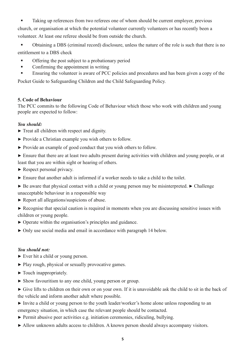§ Taking up references from two referees one of whom should be current employer, previous church, or organisation at which the potential volunteer currently volunteers or has recently been a volunteer. At least one referee should be from outside the church.

§ Obtaining a DBS (criminal record) disclosure, unless the nature of the role is such that there is no entitlement to a DBS check

- § Offering the post subject to a probationary period
- § Confirming the appointment in writing
- Ensuring the volunteer is aware of PCC policies and procedures and has been given a copy of the

Pocket Guide to Safeguarding Children and the Child Safeguarding Policy.

#### **5. Code of Behaviour**

The PCC commits to the following Code of Behaviour which those who work with children and young people are expected to follow:

#### *You should:*

- $\triangleright$  Treat all children with respect and dignity.
- ▶ Provide a Christian example you wish others to follow.
- $\triangleright$  Provide an example of good conduct that you wish others to follow.
- ▶ Ensure that there are at least two adults present during activities with children and young people, or at least that you are within sight or hearing of others.
- ▶ Respect personal privacy.
- $\triangleright$  Ensure that another adult is informed if a worker needs to take a child to the toilet.
- $\triangleright$  Be aware that physical contact with a child or young person may be misinterpreted.  $\triangleright$  Challenge unacceptable behaviour in a responsible way
- ▶ Report all allegations/suspicions of abuse.
- ▶ Recognise that special caution is required in moments when you are discussing sensitive issues with children or young people.
- ▶ Operate within the organisation's principles and guidance.
- ▶ Only use social media and email in accordance with paragraph 14 below.

#### *You should not:*

- ▶ Ever hit a child or young person.
- ▶ Play rough, physical or sexually provocative games.
- $\blacktriangleright$  Touch inappropriately.
- ▶ Show favouritism to any one child, young person or group.
- ▶ Give lifts to children on their own or on your own. If it is unavoidable ask the child to sit in the back of the vehicle and inform another adult where possible.
- ▶ Invite a child or young person to the youth leader/worker's home alone unless responding to an emergency situation, in which case the relevant people should be contacted.
- ▶ Permit abusive peer activities e.g. initiation ceremonies, ridiculing, bullying.
- ▶ Allow unknown adults access to children. A known person should always accompany visitors.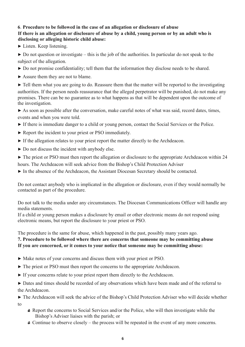#### **6**. **Procedure to be followed in the case of an allegation or disclosure of abuse If there is an allegation or disclosure of abuse by a child, young person or by an adult who is disclosing or alleging historic child abuse:**

 $\blacktriangleright$  Listen. Keep listening.

 $\triangleright$  Do not question or investigate – this is the job of the authorities. In particular do not speak to the subject of the allegation.

- ▶ Do not promise confidentiality; tell them that the information they disclose needs to be shared.
- ▶ Assure them they are not to blame.

 $\triangleright$  Tell them what you are going to do. Reassure them that the matter will be reported to the investigating authorities. If the person needs reassurance that the alleged perpetrator will be punished, do not make any promises. There can be no guarantee as to what happens as that will be dependent upon the outcome of the investigation.

 $\triangleright$  As soon as possible after the conversation, make careful notes of what was said, record dates, times, events and when you were told.

- ▶ If there is immediate danger to a child or young person, contact the Social Services or the Police.
- ▶ Report the incident to your priest or PSO immediately.
- ▶ If the allegation relates to your priest report the matter directly to the Archdeacon.
- ▶ Do not discuss the incident with anybody else.

 $\triangleright$  The priest or PSO must then report the allegation or disclosure to the appropriate Archdeacon within 24 hours. The Archdeacon will seek advice from the Bishop's Child Protection Adviser

▶ In the absence of the Archdeacon, the Assistant Diocesan Secretary should be contacted.

Do not contact anybody who is implicated in the allegation or disclosure, even if they would normally be contacted as part of the procedure.

Do not talk to the media under any circumstances. The Diocesan Communications Officer will handle any media statements.

If a child or young person makes a disclosure by email or other electronic means do not respond using electronic means, but report the disclosure to your priest or PSO.

The procedure is the same for abuse, which happened in the past, possibly many years ago.

#### **7. Procedure to be followed where there are concerns that someone may be committing abuse If you are concerned, or it comes to your notice that someone may be committing abuse:**

- ▶ Make notes of your concerns and discuss them with your priest or PSO.
- ▶ The priest or PSO must then report the concerns to the appropriate Archdeacon.
- ▶ If your concerns relate to your priest report them directly to the Archdeacon.

▶ Dates and times should be recorded of any observations which have been made and of the referral to the Archdeacon.

▶ The Archdeacon will seek the advice of the Bishop's Child Protection Adviser who will decide whether to

- *◊* Report the concerns to Social Services and/or the Police, who will then investigate while the Bishop's Adviser liaises with the parish; or
- *◊* Continue to observe closely the process will be repeated in the event of any more concerns.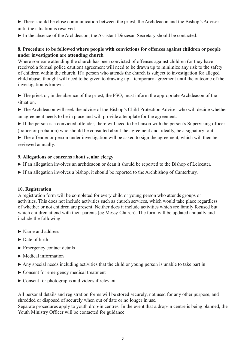▶ There should be close communication between the priest, the Archdeacon and the Bishop's Adviser until the situation is resolved.

▶ In the absence of the Archdeacon, the Assistant Diocesan Secretary should be contacted.

#### **8. Procedure to be followed where people with convictions for offences against children or people under investigation are attending church**

Where someone attending the church has been convicted of offenses against children (or they have received a formal police caution) agreement will need to be drawn up to minimize any risk to the safety of children within the church. If a person who attends the church is subject to investigation for alleged child abuse, thought will need to be given to drawing up a temporary agreement until the outcome of the investigation is known.

▶ The priest or, in the absence of the priest, the PSO, must inform the appropriate Archdeacon of the situation.

▶ The Archdeacon will seek the advice of the Bishop's Child Protection Adviser who will decide whether an agreement needs to be in place and will provide a template for the agreement.

▶ If the person is a convicted offender, there will need to be liaison with the person's Supervising officer (police or probation) who should be consulted about the agreement and, ideally, be a signatory to it.

 $\triangleright$  The offender or person under investigation will be asked to sign the agreement, which will then be reviewed annually.

#### **9. Allegations or concerns about senior clergy**

- ▶ If an allegation involves an archdeacon or dean it should be reported to the Bishop of Leicester.
- ▶ If an allegation involves a bishop, it should be reported to the Archbishop of Canterbury.

#### **10. Registration**

A registration form will be completed for every child or young person who attends groups or activities. This does not include activities such as church services, which would take place regardless of whether or not children are present. Neither does it include activities which are family focused but which children attend with their parents (eg Messy Church). The form will be updated annually and include the following:

- ▶ Name and address
- $\blacktriangleright$  Date of birth
- ▶ Emergency contact details
- $\blacktriangleright$  Medical information
- $\triangleright$  Any special needs including activities that the child or young person is unable to take part in
- ▶ Consent for emergency medical treatment
- $\triangleright$  Consent for photographs and videos if relevant

All personal details and registration forms will be stored securely, not used for any other purpose, and shredded or disposed of securely when out of date or no longer in use.

Separate procedures apply to youth drop-in centres. In the event that a drop-in centre is being planned, the Youth Ministry Officer will be contacted for guidance.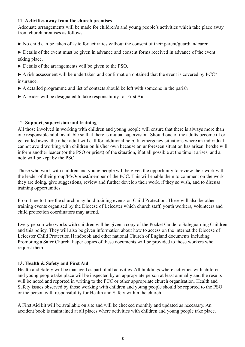#### **11. Activities away from the church premises**

Adequate arrangements will be made for children's and young people's activities which take place away from church premises as follows:

▶ No child can be taken off-site for activities without the consent of their parent/guardian/ carer.

▶ Details of the event must be given in advance and consent forms received in advance of the event taking place.

- ▶ Details of the arrangements will be given to the PSO.
- $\triangleright$  A risk assessment will be undertaken and confirmation obtained that the event is covered by PCC\* insurance.
- $\triangleright$  A detailed programme and list of contacts should be left with someone in the parish
- $\triangleright$  A leader will be designated to take responsibility for First Aid.

#### 12. **Support, supervision and training**

All those involved in working with children and young people will ensure that there is always more than one responsible adult available so that there is mutual supervision. Should one of the adults become ill or get called away, the other adult will call for additional help. In emergency situations where an individual cannot avoid working with children on his/her own because an unforeseen situation has arisen, he/she will inform another leader (or the PSO or priest) of the situation, if at all possible at the time it arises, and a note will be kept by the PSO.

Those who work with children and young people will be given the opportunity to review their work with the leader of their group/PSO/priest/member of the PCC. This will enable them to comment on the work they are doing, give suggestions, review and further develop their work, if they so wish, and to discuss training opportunities.

From time to time the church may hold training events on Child Protection. There will also be other training events organised by the Diocese of Leicester which church staff, youth workers, volunteers and child protection coordinators may attend.

Every person who works with children will be given a copy of the Pocket Guide to Safeguarding Children and this policy. They will also be given information about how to access on the internet the Diocese of Leicester Child Protection Handbook and other national Church of England documents including Promoting a Safer Church. Paper copies of these documents will be provided to those workers who request them.

#### **13. Health & Safety and First Aid**

Health and Safety will be managed as part of all activities. All buildings where activities with children and young people take place will be inspected by an appropriate person at least annually and the results will be noted and reported in writing to the PCC or other appropriate church organisation. Health and Safety issues observed by those working with children and young people should be reported to the PSO or the person with responsibility for Health and Safety within the church.

A First Aid kit will be available on site and will be checked monthly and updated as necessary. An accident book is maintained at all places where activities with children and young people take place.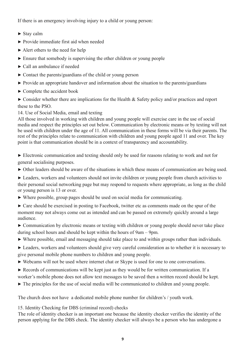If there is an emergency involving injury to a child or young person:

- $\blacktriangleright$  Stay calm
- ▶ Provide immediate first aid when needed
- $\blacktriangleright$  Alert others to the need for help
- ▶ Ensure that somebody is supervising the other children or young people
- ▶ Call an ambulance if needed
- $\triangleright$  Contact the parents/guardians of the child or young person
- ▶ Provide an appropriate handover and information about the situation to the parents/guardians
- ▶ Complete the accident book

 $\triangleright$  Consider whether there are implications for the Health & Safety policy and/or practices and report these to the PSO.

14. Use of Social Media, email and texting

All those involved in working with children and young people will exercise care in the use of social media and respect the principles set out below. Communication by electronic means or by texting will not be used with children under the age of 11. All communication in these forms will be via their parents. The rest of the principles relate to communication with children and young people aged 11 and over. The key point is that communication should be in a context of transparency and accountability.

▶ Electronic communication and texting should only be used for reasons relating to work and not for general socialising purposes.

 $\triangleright$  Other leaders should be aware of the situations in which these means of communication are being used.

▶ Leaders, workers and volunteers should not invite children or young people from church activities to their personal social networking page but may respond to requests where appropriate, as long as the child or young person is 13 or over.

- $\triangleright$  Where possible, group pages should be used on social media for communicating.
- $\triangleright$  Care should be exercised in posting to Facebook, twitter etc as comments made on the spur of the moment may not always come out as intended and can be passed on extremely quickly around a large audience.

▶ Communication by electronic means or texting with children or young people should never take place during school hours and should be kept within the hours of 9am – 9pm.

- ▶ Where possible, email and messaging should take place to and within groups rather than individuals.
- ▶ Leaders, workers and volunteers should give very careful consideration as to whether it is necessary to give personal mobile phone numbers to children and young people.
- ▶ Webcams will not be used where internet chat or Skype is used for one to one conversations.
- ▶ Records of communications will be kept just as they would be for written communication. If a worker's mobile phone does not allow text messages to be saved then a written record should be kept.
- ▶ The principles for the use of social media will be communicated to children and young people.

The church does not have a dedicated mobile phone number for children's / youth work.

15. Identity Checking for DBS (criminal record) checks

The role of identity checker is an important one because the identity checker verifies the identity of the person applying for the DBS check. The identity checker will always be a person who has undergone a